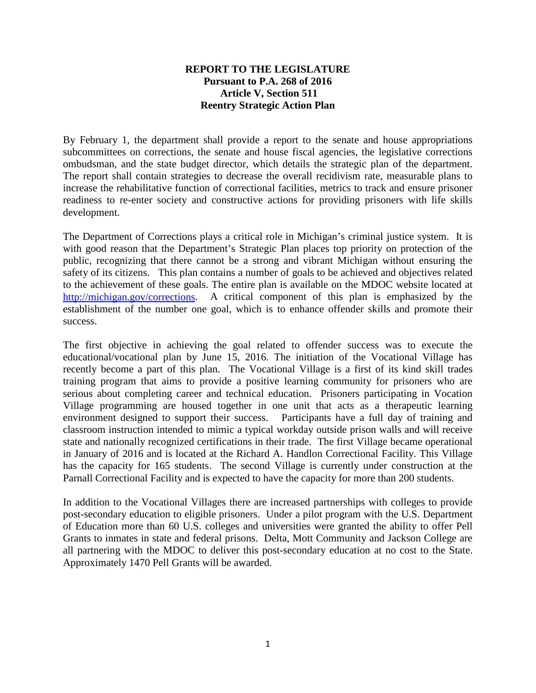## **REPORT TO THE LEGISLATURE Pursuant to P.A. 268 of 2016 Article V, Section 511 Reentry Strategic Action Plan**

By February 1, the department shall provide a report to the senate and house appropriations subcommittees on corrections, the senate and house fiscal agencies, the legislative corrections ombudsman, and the state budget director, which details the strategic plan of the department. The report shall contain strategies to decrease the overall recidivism rate, measurable plans to increase the rehabilitative function of correctional facilities, metrics to track and ensure prisoner readiness to re-enter society and constructive actions for providing prisoners with life skills development.

The Department of Corrections plays a critical role in Michigan's criminal justice system. It is with good reason that the Department's Strategic Plan places top priority on protection of the public, recognizing that there cannot be a strong and vibrant Michigan without ensuring the safety of its citizens. This plan contains a number of goals to be achieved and objectives related to the achievement of these goals. The entire plan is available on the MDOC website located at [http://michigan.gov/corrections.](http://michigan.gov/corrections) A critical component of this plan is emphasized by the establishment of the number one goal, which is to enhance offender skills and promote their success.

The first objective in achieving the goal related to offender success was to execute the educational/vocational plan by June 15, 2016. The initiation of the Vocational Village has recently become a part of this plan. The Vocational Village is a first of its kind skill trades training program that aims to provide a positive learning community for prisoners who are serious about completing career and technical education. Prisoners participating in Vocation Village programming are housed together in one unit that acts as a therapeutic learning environment designed to support their success. Participants have a full day of training and classroom instruction intended to mimic a typical workday outside prison walls and will receive state and nationally recognized certifications in their trade. The first Village became operational in January of 2016 and is located at the Richard A. Handlon Correctional Facility. This Village has the capacity for 165 students. The second Village is currently under construction at the Parnall Correctional Facility and is expected to have the capacity for more than 200 students.

In addition to the Vocational Villages there are increased partnerships with colleges to provide post-secondary education to eligible prisoners. Under a pilot program with the U.S. Department of Education more than 60 U.S. colleges and universities were granted the ability to offer Pell Grants to inmates in state and federal prisons. Delta, Mott Community and Jackson College are all partnering with the MDOC to deliver this post-secondary education at no cost to the State. Approximately 1470 Pell Grants will be awarded.